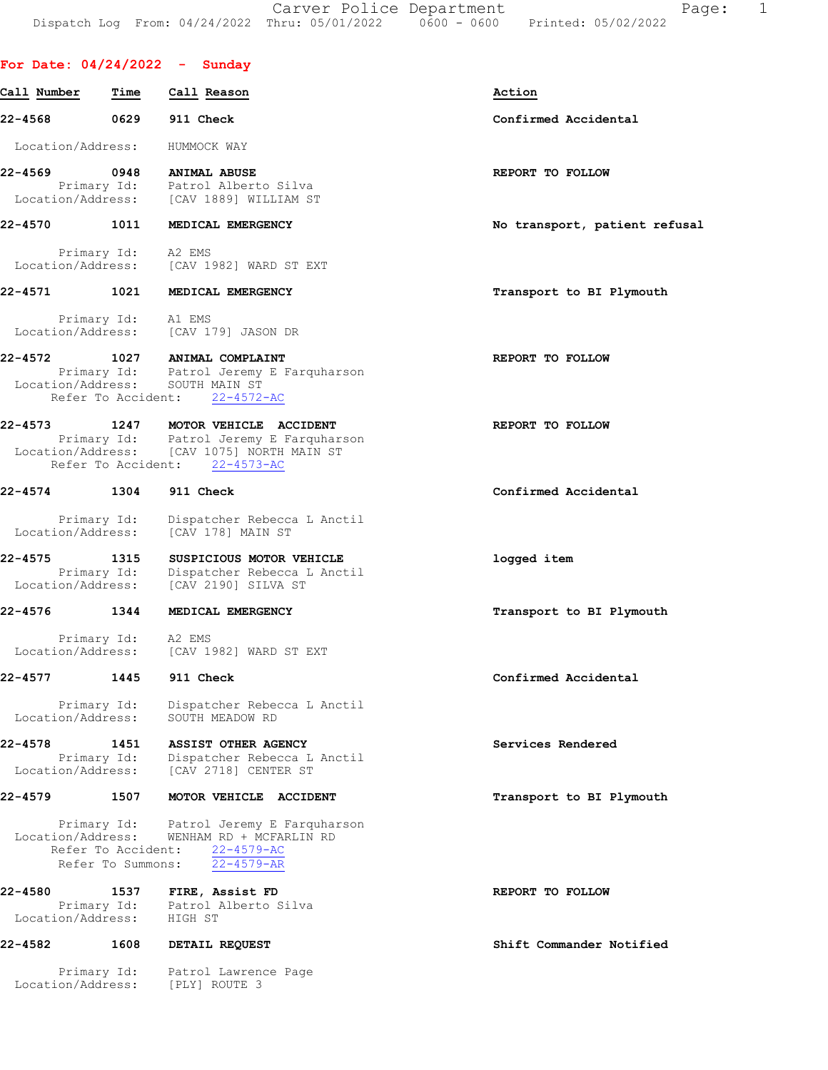Carver Police Department Fage: 1 Dispatch Log From: 04/24/2022 Thru: 05/01/2022 0600 - 0600 Printed: 05/02/2022

## For Date: 04/24/2022 - Sunday

| Call Number                  | Time                                    | Call Reason                                                                                                                                           | Action                        |
|------------------------------|-----------------------------------------|-------------------------------------------------------------------------------------------------------------------------------------------------------|-------------------------------|
| 22-4568                      | 0629                                    | 911 Check                                                                                                                                             | Confirmed Accidental          |
| Location/Address:            |                                         | HUMMOCK WAY                                                                                                                                           |                               |
| 22-4569                      | 0948                                    | <b>ANIMAL ABUSE</b><br>Primary Id: Patrol Alberto Silva<br>Location/Address: [CAV 1889] WILLIAM ST                                                    | REPORT TO FOLLOW              |
| 22-4570                      | 1011                                    | MEDICAL EMERGENCY                                                                                                                                     | No transport, patient refusal |
|                              |                                         | Primary Id: A2 EMS<br>Location/Address: [CAV 1982] WARD ST EXT                                                                                        |                               |
| 22-4571                      |                                         | 1021 MEDICAL EMERGENCY                                                                                                                                | Transport to BI Plymouth      |
|                              |                                         | Primary Id: Al EMS<br>Location/Address: [CAV 179] JASON DR                                                                                            |                               |
| 22-4572                      | Refer To Accident:                      | 1027 ANIMAL COMPLAINT<br>Primary Id: Patrol Jeremy E Farquharson<br>Location/Address: SOUTH MAIN ST<br>$22 - 4572 - AC$                               | REPORT TO FOLLOW              |
| 22-4573                      |                                         | 1247 MOTOR VEHICLE ACCIDENT<br>Primary Id: Patrol Jeremy E Farquharson<br>Location/Address: [CAV 1075] NORTH MAIN ST<br>Refer To Accident: 22-4573-AC | REPORT TO FOLLOW              |
| 22-4574 1304                 |                                         | 911 Check                                                                                                                                             | Confirmed Accidental          |
| Location/Address:            | Primary Id:                             | Dispatcher Rebecca L Anctil<br>[CAV 178] MAIN ST                                                                                                      |                               |
| 22-4575<br>Location/Address: | 1315<br>Primary Id:                     | SUSPICIOUS MOTOR VEHICLE<br>Dispatcher Rebecca L Anctil<br>[CAV 2190] SILVA ST                                                                        | logged item                   |
| 22-4576                      | 1344                                    | MEDICAL EMERGENCY                                                                                                                                     | Transport to BI Plymouth      |
|                              |                                         | Primary Id: A2 EMS<br>Location/Address: [CAV 1982] WARD ST EXT                                                                                        |                               |
| 22-4577                      | 1445                                    | 911 Check                                                                                                                                             | Confirmed Accidental          |
| Location/Address:            | Primary Id:                             | Dispatcher Rebecca L Anctil<br>SOUTH MEADOW RD                                                                                                        |                               |
| $22 - 4578$                  | 1451<br>Primary Id:                     | ASSIST OTHER AGENCY<br>Dispatcher Rebecca L Anctil<br>Location/Address: [CAV 2718] CENTER ST                                                          | Services Rendered             |
| $22 - 4579$                  | 1507                                    | MOTOR VEHICLE ACCIDENT                                                                                                                                | Transport to BI Plymouth      |
| Location/Address:            | Refer To Accident:<br>Refer To Summons: | Primary Id: Patrol Jeremy E Farquharson<br>WENHAM RD + MCFARLIN RD<br>$22 - 4579 - AC$<br>$22 - 4579 - AR$                                            |                               |
| 22-4580<br>Location/Address: |                                         | 1537 FIRE, Assist FD<br>Primary Id: Patrol Alberto Silva<br>HIGH ST                                                                                   | REPORT TO FOLLOW              |
| 22-4582                      | 1608                                    | DETAIL REQUEST                                                                                                                                        | Shift Commander Notified      |
| Location/Address:            | Primary Id:                             | Patrol Lawrence Page<br>[PLY] ROUTE 3                                                                                                                 |                               |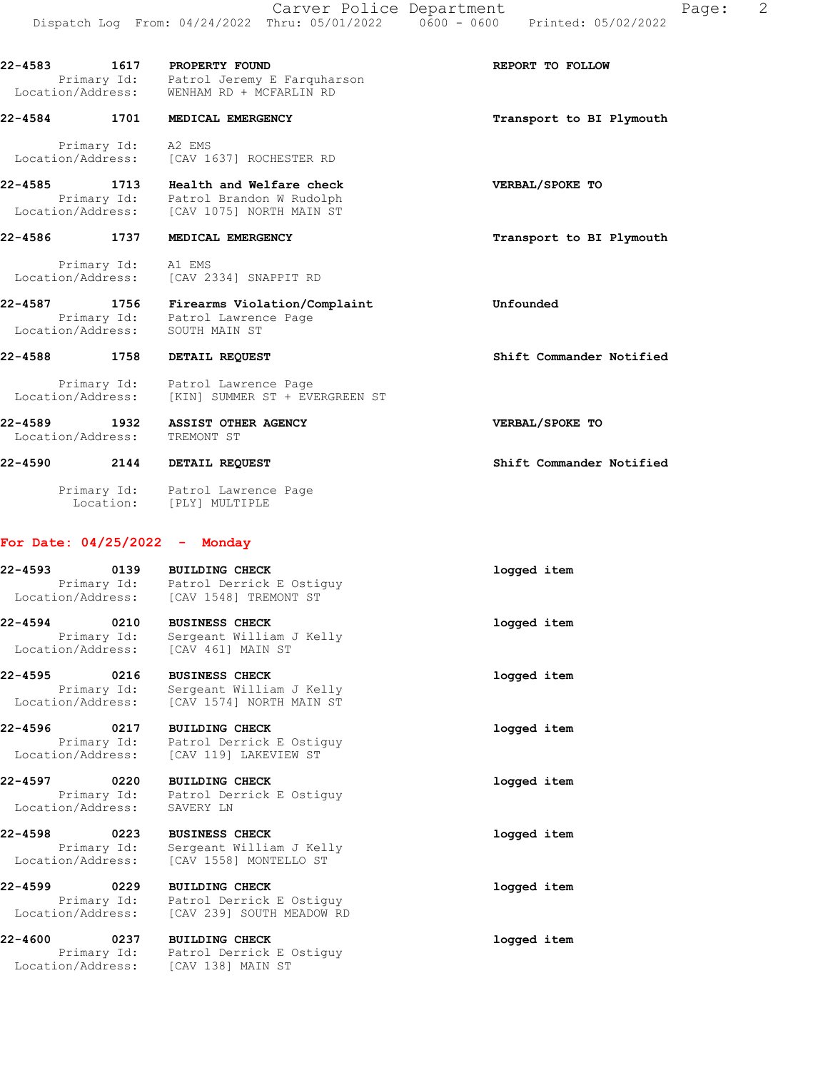22-4583 1617 PROPERTY FOUND 160 CONDITIONS REPORT TO FOLLOW Primary Id: Patrol Jeremy E Farquharson Location/Address: WENHAM RD + MCFARLIN RD 22-4584 1701 MEDICAL EMERGENCY **1200 1200 1200 1200 1200 1200 1200** Transport to BI Plymouth Primary Id: A2 EMS Location/Address: [CAV 1637] ROCHESTER RD 22-4585 1713 Health and Welfare check VERBAL/SPOKE TO Primary Id: Patrol Brandon W Rudolph Location/Address: [CAV 1075] NORTH MAIN ST 22-4586 1737 MEDICAL EMERGENCY **1200 1200 1200 1200 1200** Transport to BI Plymouth Primary Id: A1 EMS Location/Address: [CAV 2334] SNAPPIT RD 22-4587 1756 Firearms Violation/Complaint Unfounded

22-4588 1758 DETAIL REQUEST Shift Commander Notified

 Primary Id: Patrol Lawrence Page Location/Address: SOUTH MAIN ST

 Primary Id: Patrol Lawrence Page Location/Address: [KIN] SUMMER ST + EVERGREEN ST

22-4589 1932 ASSIST OTHER AGENCY VERBAL/SPOKE TO Location/Address: TREMONT ST

22-4590 2144 DETAIL REQUEST Shift Commander Notified Primary Id: Patrol Lawrence Page Location: [PLY] MULTIPLE

### For Date: 04/25/2022 - Monday

| 22-4593<br>0139<br>Primary Id:<br>Location/Address:                   | <b>BUILDING CHECK</b><br>Patrol Derrick E Ostiquy<br>[CAV 1548] TREMONT ST                   | logged item |
|-----------------------------------------------------------------------|----------------------------------------------------------------------------------------------|-------------|
| 22-4594<br>0210<br>Primary Id:<br>Location/Address: [CAV 461] MAIN ST | <b>BUSINESS CHECK</b><br>Sergeant William J Kelly                                            | logged item |
| 22-4595<br>0216<br>Primary Id:<br>Location/Address:                   | <b>BUSINESS CHECK</b><br>Sergeant William J Kelly<br>[CAV 1574] NORTH MAIN ST                | logged item |
| 22-4596<br>0217<br>Primary Id:                                        | <b>BUILDING CHECK</b><br>Patrol Derrick E Ostiquy<br>Location/Address: [CAV 119] LAKEVIEW ST | logged item |
| 22-4597<br>0220<br>Location/Address:                                  | <b>BUILDING CHECK</b><br>Primary Id: Patrol Derrick E Ostiquy<br>SAVERY LN                   | logged item |
| 22-4598<br>0223<br>Primary Id:<br>Location/Address:                   | <b>BUSINESS CHECK</b><br>Sergeant William J Kelly<br>[CAV 1558] MONTELLO ST                  | logged item |
| 22-4599<br>0229<br>Primary Id:<br>Location/Address:                   | <b>BUILDING CHECK</b><br>Patrol Derrick E Ostiquy<br>[CAV 239] SOUTH MEADOW RD               | logged item |
| 22-4600<br>0237<br>Primary Id:<br>Location/Address:                   | <b>BUILDING CHECK</b><br>Patrol Derrick E Ostiquy<br>[CAV 138] MAIN ST                       | logged item |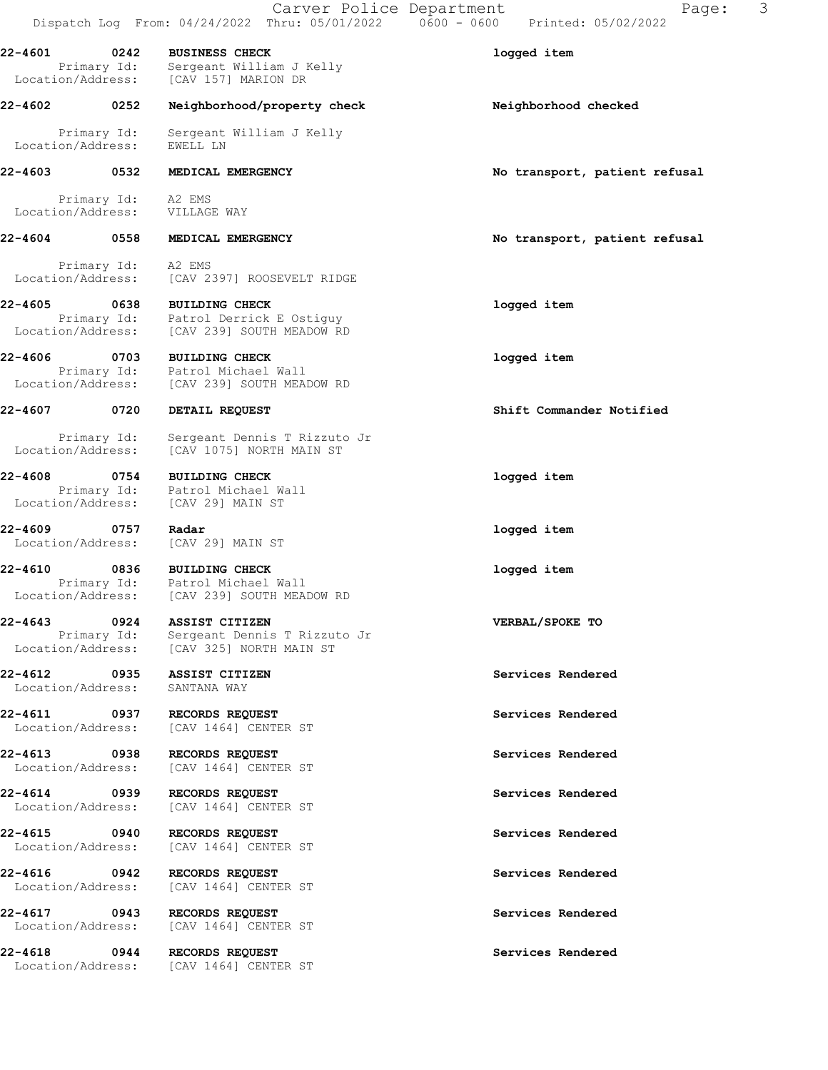|                                   |                     | Carver Police Department                                                                       | 3<br>Page:<br>Dispatch Log From: 04/24/2022 Thru: 05/01/2022   0600 - 0600   Printed: 05/02/2022 |
|-----------------------------------|---------------------|------------------------------------------------------------------------------------------------|--------------------------------------------------------------------------------------------------|
| 22-4601 0242                      | Primary Id:         | <b>BUSINESS CHECK</b><br>Sergeant William J Kelly<br>Location/Address: [CAV 157] MARION DR     | logged item                                                                                      |
| 22-4602 0252                      |                     | Neighborhood/property check                                                                    | Neighborhood checked                                                                             |
| Location/Address:                 | Primary Id:         | Sergeant William J Kelly<br>EWELL LN                                                           |                                                                                                  |
| 22-4603 0532                      |                     | MEDICAL EMERGENCY                                                                              | No transport, patient refusal                                                                    |
|                                   |                     | Primary Id: A2 EMS<br>Location/Address: VILLAGE WAY                                            |                                                                                                  |
| 22-4604                           | 0558                | MEDICAL EMERGENCY                                                                              | No transport, patient refusal                                                                    |
| Location/Address:                 | Primary Id: A2 EMS  | [CAV 2397] ROOSEVELT RIDGE                                                                     |                                                                                                  |
| 22-4605 0638<br>Location/Address: |                     | <b>BUILDING CHECK</b><br>Primary Id: Patrol Derrick E Ostiguy<br>[CAV 239] SOUTH MEADOW RD     | logged item                                                                                      |
|                                   | Location/Address:   | 22-4606 0703 BUILDING CHECK<br>Primary Id: Patrol Michael Wall<br>[CAV 239] SOUTH MEADOW RD    | logged item                                                                                      |
| 22-4607 0720                      |                     | DETAIL REQUEST                                                                                 | Shift Commander Notified                                                                         |
| Location/Address:                 | Primary Id:         | Sergeant Dennis T Rizzuto Jr<br>[CAV 1075] NORTH MAIN ST                                       |                                                                                                  |
| 22-4608 0754                      |                     | <b>BUILDING CHECK</b><br>Primary Id: Patrol Michael Wall<br>Location/Address: [CAV 29] MAIN ST | logged item                                                                                      |
| 22-4609 0757<br>Location/Address: |                     | Radar<br>[CAV 29] MAIN ST                                                                      | logged item                                                                                      |
| Location/Address:                 |                     | 22-4610 0836 BUILDING CHECK<br>Primary Id: Patrol Michael Wall<br>[CAV 239] SOUTH MEADOW RD    | logged item                                                                                      |
| $22 - 4643$                       | 0924<br>Primary Id: | ASSIST CITIZEN<br>Sergeant Dennis T Rizzuto Jr<br>Location/Address: [CAV 325] NORTH MAIN ST    | VERBAL/SPOKE TO                                                                                  |
| 22-4612 0935<br>Location/Address: |                     | ASSIST CITIZEN<br>SANTANA WAY                                                                  | Services Rendered                                                                                |
| 22-4611 0937<br>Location/Address: |                     | RECORDS REQUEST<br>[CAV 1464] CENTER ST                                                        | Services Rendered                                                                                |
| 22-4613 0938<br>Location/Address: |                     | RECORDS REQUEST<br>[CAV 1464] CENTER ST                                                        | Services Rendered                                                                                |
| 22-4614<br>Location/Address:      | 0939                | RECORDS REQUEST<br>[CAV 1464] CENTER ST                                                        | Services Rendered                                                                                |
| 22-4615 0940<br>Location/Address: |                     | RECORDS REQUEST<br>[CAV 1464] CENTER ST                                                        | Services Rendered                                                                                |
| 22-4616<br>Location/Address:      | $\sim$ 0942         | RECORDS REQUEST<br>[CAV 1464] CENTER ST                                                        | Services Rendered                                                                                |
| 22-4617 0943<br>Location/Address: |                     | RECORDS REQUEST<br>[CAV 1464] CENTER ST                                                        | Services Rendered                                                                                |
| 22-4618                           |                     | 0944 RECORDS REQUEST<br>Location/Address: [CAV 1464] CENTER ST                                 | Services Rendered                                                                                |
|                                   |                     |                                                                                                |                                                                                                  |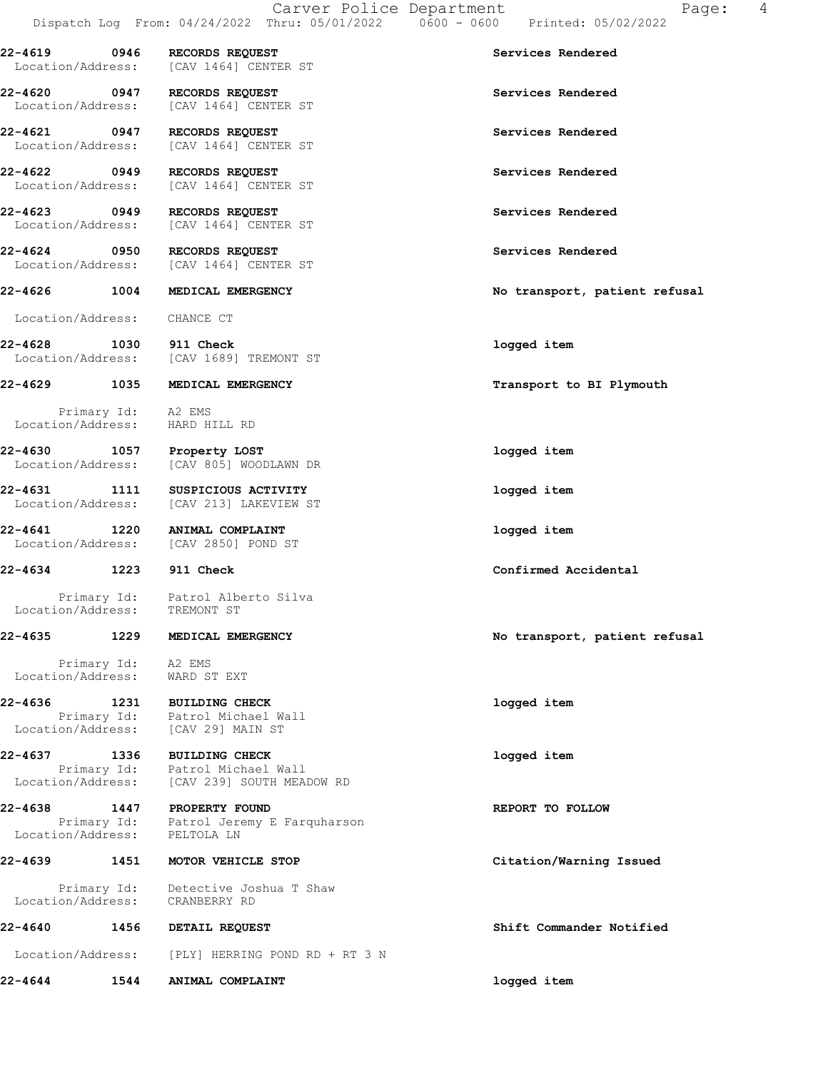22-4619 0946 RECORDS REQUEST Services Rendered Location/Address: [CAV 1464] CENTER ST 22-4620 0947 RECORDS REQUEST Services Rendered Location/Address: [CAV 1464] CENTER ST 22-4621 0947 RECORDS REQUEST Services Rendered Location/Address: [CAV 1464] CENTER ST 22-4622 0949 RECORDS REQUEST Services Rendered Location/Address: [CAV 1464] CENTER ST 22-4623 0949 RECORDS REQUEST Services Rendered Location/Address: [CAV 1464] CENTER ST 22-4624 0950 RECORDS REQUEST Services Rendered Location/Address: [CAV 1464] CENTER ST 22-4626 1004 MEDICAL EMERGENCY No transport, patient refusal Location/Address: CHANCE CT 22-4628 1030 911 Check logged item Location/Address: [CAV 1689] TREMONT ST 22-4629 1035 MEDICAL EMERGENCY Transport to BI Plymouth Primary Id: A2 EMS Location/Address: HARD HILL RD 22-4630 1057 Property LOST logged item Location/Address: [CAV 805] WOODLAWN DR 22-4631 1111 SUSPICIOUS ACTIVITY logged item Location/Address: [CAV 213] LAKEVIEW ST 22-4641 1220 ANIMAL COMPLAINT logged item Location/Address: [CAV 2850] POND ST 22-4634 1223 911 Check Confirmed Accidental Primary Id: Patrol Alberto Silva Location/Address: TREMONT ST 22-4635 1229 MEDICAL EMERGENCY No transport, patient refusal Primary Id: A2 EMS Location/Address: WARD ST EXT 22-4636 1231 BUILDING CHECK logged item Primary Id: Patrol Michael Wall Location/Address: [CAV 29] MAIN ST 22-4637 1336 BUILDING CHECK logged item Primary Id: Patrol Michael Wall Location/Address: [CAV 239] SOUTH MEADOW RD 22-4638 1447 PROPERTY FOUND **REPORT TO FOLLOW**  Primary Id: Patrol Jeremy E Farquharson Location/Address: PELTOLA LN 22-4639 1451 MOTOR VEHICLE STOP Citation/Warning Issued Primary Id: Detective Joshua T Shaw Location/Address: CRANBERRY RD 22-4640 1456 DETAIL REQUEST Shift Commander Notified Location/Address: [PLY] HERRING POND RD + RT 3 N 22-4644 1544 ANIMAL COMPLAINT logged item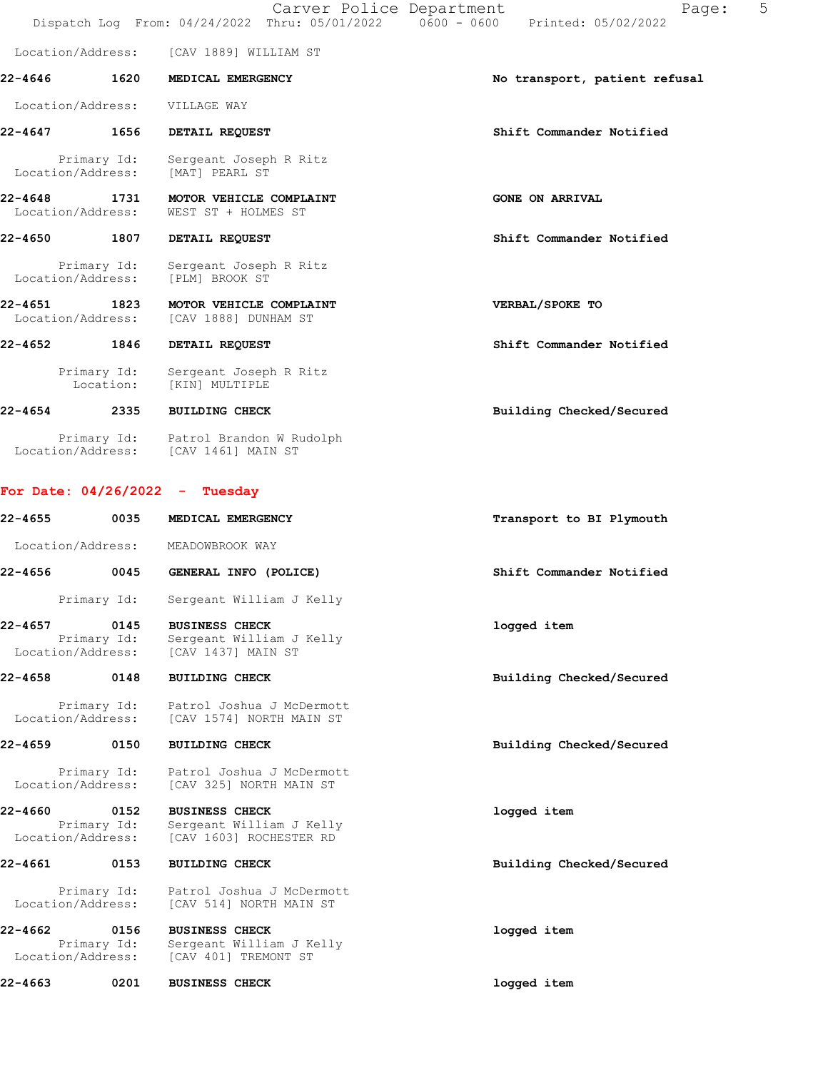|                                  |                           | Dispatch Log From: 04/24/2022 Thru: 05/01/2022 0600 - 0600 | 5<br>Carver Police Department<br>Page:<br>Printed: 05/02/2022 |
|----------------------------------|---------------------------|------------------------------------------------------------|---------------------------------------------------------------|
|                                  |                           | Location/Address: [CAV 1889] WILLIAM ST                    |                                                               |
| $22 - 4646$                      | 1620                      | MEDICAL EMERGENCY                                          | No transport, patient refusal                                 |
| Location/Address:                |                           | VILLAGE WAY                                                |                                                               |
| 22-4647                          | 1656                      | DETAIL REQUEST                                             | Shift Commander Notified                                      |
|                                  | Primary Id:               | Sergeant Joseph R Ritz<br>Location/Address: [MAT] PEARL ST |                                                               |
| $22 - 4648$                      | 1731<br>Location/Address: | MOTOR VEHICLE COMPLAINT<br>WEST ST + HOLMES ST             | <b>GONE ON ARRIVAL</b>                                        |
| 22-4650                          | 1807                      | DETAIL REQUEST                                             | Shift Commander Notified                                      |
| Location/Address:                | Primary Id:               | Sergeant Joseph R Ritz<br>[PLM] BROOK ST                   |                                                               |
| $22 - 4651$<br>Location/Address: | 1823                      | MOTOR VEHICLE COMPLAINT<br>[CAV 1888] DUNHAM ST            | VERBAL/SPOKE TO                                               |
| 22-4652                          | 1846                      | DETAIL REQUEST                                             | Shift Commander Notified                                      |
|                                  | Primary Id:               | Sergeant Joseph R Ritz<br>Location: [KIN] MULTIPLE         |                                                               |
| $22 - 4654$                      | 2335                      | <b>BUILDING CHECK</b>                                      | Building Checked/Secured                                      |
|                                  |                           |                                                            |                                                               |

 Primary Id: Patrol Brandon W Rudolph Location/Address: [CAV 1461] MAIN ST

# For Date: 04/26/2022 - Tuesday

| 22-4655                      | 0035                | MEDICAL EMERGENCY                                                                   | Transport to BI Plymouth |
|------------------------------|---------------------|-------------------------------------------------------------------------------------|--------------------------|
| Location/Address:            |                     | MEADOWBROOK WAY                                                                     |                          |
| 22-4656                      | 0045                | GENERAL INFO (POLICE)                                                               | Shift Commander Notified |
|                              | Primary Id:         | Sergeant William J Kelly                                                            |                          |
| 22-4657<br>Location/Address: | 0145<br>Primary Id: | <b>BUSINESS CHECK</b><br>Sergeant William J Kelly<br>[CAV 1437] MAIN ST             | logged item              |
| 22-4658                      | 0148                | <b>BUILDING CHECK</b>                                                               | Building Checked/Secured |
|                              |                     | Primary Id: Patrol Joshua J McDermott<br>Location/Address: [CAV 1574] NORTH MAIN ST |                          |
| 22-4659                      | 0150                | <b>BUILDING CHECK</b>                                                               | Building Checked/Secured |
| Location/Address:            | Primary Id:         | Patrol Joshua J McDermott<br>[CAV 325] NORTH MAIN ST                                |                          |
| 22-4660<br>Location/Address: | 0152<br>Primary Id: | <b>BUSINESS CHECK</b><br>Sergeant William J Kelly<br>[CAV 1603] ROCHESTER RD        | logged item              |
| 22-4661                      | 0153                | <b>BUILDING CHECK</b>                                                               | Building Checked/Secured |
| Location/Address:            | Primary Id:         | Patrol Joshua J McDermott<br>[CAV 514] NORTH MAIN ST                                |                          |
| 22-4662<br>Location/Address: | 0156<br>Primary Id: | <b>BUSINESS CHECK</b><br>Sergeant William J Kelly<br>[CAV 401] TREMONT ST           | logged item              |
| 22-4663                      | 0201                | <b>BUSINESS CHECK</b>                                                               | logged item              |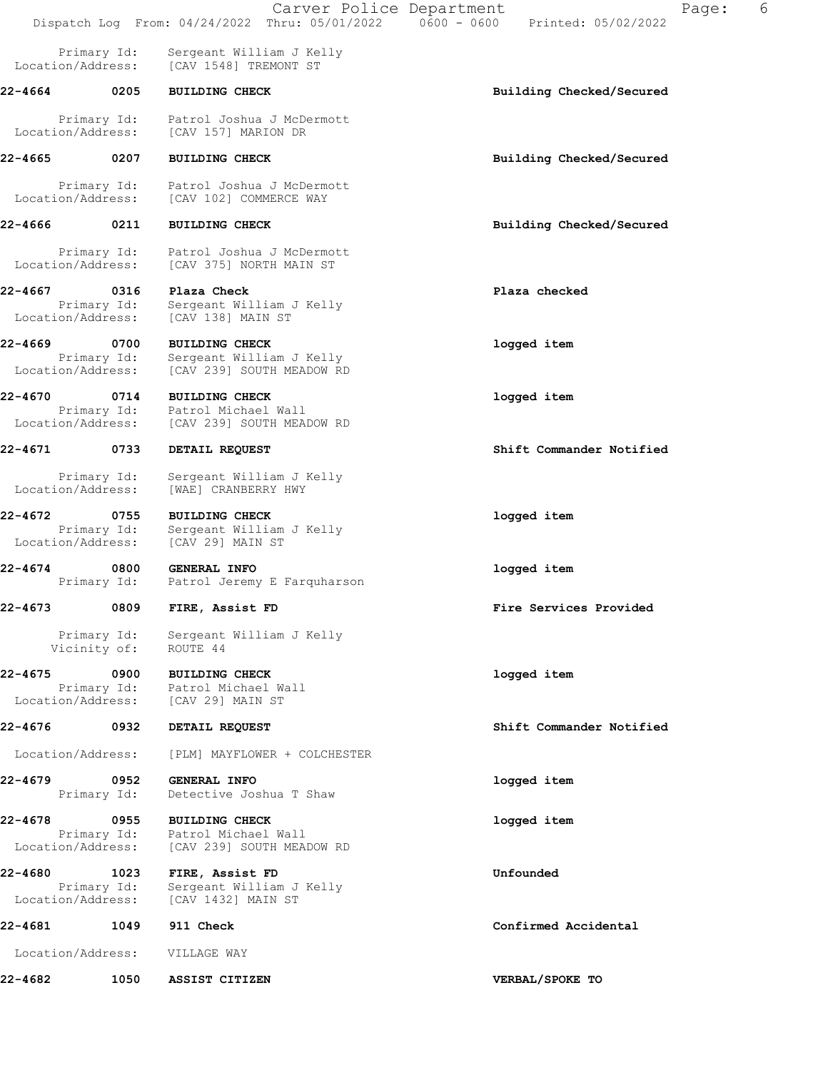|                                          |                                                                       |                                                                                                                                                                                                                                                                                                                                                                                                                                                                                                                                                                                                                         | Page:                                                                                                          | 6 |
|------------------------------------------|-----------------------------------------------------------------------|-------------------------------------------------------------------------------------------------------------------------------------------------------------------------------------------------------------------------------------------------------------------------------------------------------------------------------------------------------------------------------------------------------------------------------------------------------------------------------------------------------------------------------------------------------------------------------------------------------------------------|----------------------------------------------------------------------------------------------------------------|---|
| Primary Id:<br>Location/Address:         | Sergeant William J Kelly                                              |                                                                                                                                                                                                                                                                                                                                                                                                                                                                                                                                                                                                                         |                                                                                                                |   |
| 22-4664 0205                             | <b>BUILDING CHECK</b>                                                 | Building Checked/Secured                                                                                                                                                                                                                                                                                                                                                                                                                                                                                                                                                                                                |                                                                                                                |   |
|                                          | Patrol Joshua J McDermott                                             |                                                                                                                                                                                                                                                                                                                                                                                                                                                                                                                                                                                                                         |                                                                                                                |   |
| 22-4665 0207                             | <b>BUILDING CHECK</b>                                                 | Building Checked/Secured                                                                                                                                                                                                                                                                                                                                                                                                                                                                                                                                                                                                |                                                                                                                |   |
|                                          |                                                                       |                                                                                                                                                                                                                                                                                                                                                                                                                                                                                                                                                                                                                         |                                                                                                                |   |
| 0211                                     | <b>BUILDING CHECK</b>                                                 | Building Checked/Secured                                                                                                                                                                                                                                                                                                                                                                                                                                                                                                                                                                                                |                                                                                                                |   |
| Location/Address:                        | Patrol Joshua J McDermott<br>[CAV 375] NORTH MAIN ST                  |                                                                                                                                                                                                                                                                                                                                                                                                                                                                                                                                                                                                                         |                                                                                                                |   |
| 0316                                     | Plaza Check                                                           | Plaza checked                                                                                                                                                                                                                                                                                                                                                                                                                                                                                                                                                                                                           |                                                                                                                |   |
| Location/Address:                        | [CAV 138] MAIN ST                                                     |                                                                                                                                                                                                                                                                                                                                                                                                                                                                                                                                                                                                                         |                                                                                                                |   |
| 22-4669 0700                             | <b>BUILDING CHECK</b>                                                 | logged item                                                                                                                                                                                                                                                                                                                                                                                                                                                                                                                                                                                                             |                                                                                                                |   |
| Location/Address:                        | [CAV 239] SOUTH MEADOW RD                                             |                                                                                                                                                                                                                                                                                                                                                                                                                                                                                                                                                                                                                         |                                                                                                                |   |
|                                          | <b>BUILDING CHECK</b>                                                 | logged item                                                                                                                                                                                                                                                                                                                                                                                                                                                                                                                                                                                                             |                                                                                                                |   |
| Location/Address:                        | [CAV 239] SOUTH MEADOW RD                                             |                                                                                                                                                                                                                                                                                                                                                                                                                                                                                                                                                                                                                         |                                                                                                                |   |
| 22-4671 0733                             | DETAIL REQUEST                                                        | Shift Commander Notified                                                                                                                                                                                                                                                                                                                                                                                                                                                                                                                                                                                                |                                                                                                                |   |
| Primary Id:<br>Location/Address:         | Sergeant William J Kelly<br>[WAE] CRANBERRY HWY                       |                                                                                                                                                                                                                                                                                                                                                                                                                                                                                                                                                                                                                         |                                                                                                                |   |
| 0755<br>Primary Id:<br>Location/Address: | <b>BUILDING CHECK</b><br>Sergeant William J Kelly<br>[CAV 29] MAIN ST | logged item                                                                                                                                                                                                                                                                                                                                                                                                                                                                                                                                                                                                             |                                                                                                                |   |
| 0800                                     |                                                                       | logged item                                                                                                                                                                                                                                                                                                                                                                                                                                                                                                                                                                                                             |                                                                                                                |   |
|                                          |                                                                       | Fire Services Provided                                                                                                                                                                                                                                                                                                                                                                                                                                                                                                                                                                                                  |                                                                                                                |   |
| Primary Id:<br>Vicinity of:              | Sergeant William J Kelly<br>ROUTE 44                                  |                                                                                                                                                                                                                                                                                                                                                                                                                                                                                                                                                                                                                         |                                                                                                                |   |
| 22-4675<br>0900                          | <b>BUILDING CHECK</b>                                                 | logged item                                                                                                                                                                                                                                                                                                                                                                                                                                                                                                                                                                                                             |                                                                                                                |   |
|                                          | DETAIL REQUEST                                                        | Shift Commander Notified                                                                                                                                                                                                                                                                                                                                                                                                                                                                                                                                                                                                |                                                                                                                |   |
| Location/Address:                        | [PLM] MAYFLOWER + COLCHESTER                                          |                                                                                                                                                                                                                                                                                                                                                                                                                                                                                                                                                                                                                         |                                                                                                                |   |
| 0952<br>Primary Id:                      | <b>GENERAL INFO</b><br>Detective Joshua T Shaw                        | logged item                                                                                                                                                                                                                                                                                                                                                                                                                                                                                                                                                                                                             |                                                                                                                |   |
| 22-4678<br>0955<br>Location/Address:     | <b>BUILDING CHECK</b><br>[CAV 239] SOUTH MEADOW RD                    | logged item                                                                                                                                                                                                                                                                                                                                                                                                                                                                                                                                                                                                             |                                                                                                                |   |
| Location/Address:                        | FIRE, Assist FD<br>Sergeant William J Kelly<br>[CAV 1432] MAIN ST     | Unfounded                                                                                                                                                                                                                                                                                                                                                                                                                                                                                                                                                                                                               |                                                                                                                |   |
|                                          |                                                                       | Confirmed Accidental                                                                                                                                                                                                                                                                                                                                                                                                                                                                                                                                                                                                    |                                                                                                                |   |
|                                          |                                                                       |                                                                                                                                                                                                                                                                                                                                                                                                                                                                                                                                                                                                                         |                                                                                                                |   |
| 1050                                     | ASSIST CITIZEN                                                        | VERBAL/SPOKE TO                                                                                                                                                                                                                                                                                                                                                                                                                                                                                                                                                                                                         |                                                                                                                |   |
|                                          | Primary Id:<br>Primary Id:                                            | [CAV 1548] TREMONT ST<br>Primary Id:<br>Location/Address: [CAV 157] MARION DR<br>Primary Id: Patrol Joshua J McDermott<br>Location/Address: [CAV 102] COMMERCE WAY<br>Primary Id:<br>Sergeant William J Kelly<br>Sergeant William J Kelly<br>22-4670 0714<br>Primary Id:<br>Patrol Michael Wall<br><b>GENERAL INFO</b><br>Primary Id: Patrol Jeremy E Farquharson<br>22-4673 0809 FIRE, Assist FD<br>Primary Id: Patrol Michael Wall<br>Location/Address: [CAV 29] MAIN ST<br>22-4676 0932<br>Primary Id: Patrol Michael Wall<br>22-4680 1023<br>Primary Id:<br>22-4681 1049 911 Check<br>Location/Address: VILLAGE WAY | Carver Police Department<br>Dispatch Log From: 04/24/2022 Thru: 05/01/2022   0600 - 0600   Printed: 05/02/2022 |   |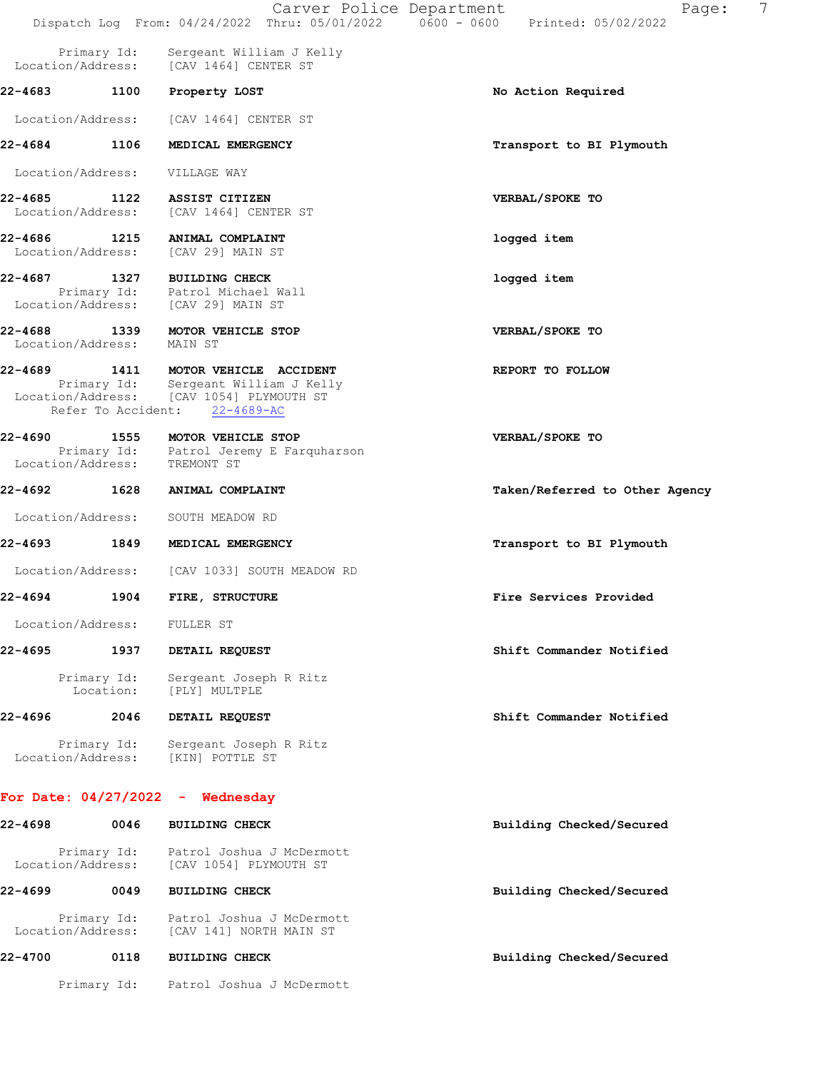|                              |                           | Carver Police Department                                                                                                            | 7<br>Page:<br>Dispatch Log From: 04/24/2022 Thru: 05/01/2022   0600 - 0600   Printed: 05/02/2022 |
|------------------------------|---------------------------|-------------------------------------------------------------------------------------------------------------------------------------|--------------------------------------------------------------------------------------------------|
|                              | Primary Id:               | Sergeant William J Kelly                                                                                                            |                                                                                                  |
| Location/Address:            |                           | [CAV 1464] CENTER ST                                                                                                                |                                                                                                  |
| 22-4683                      | 1100                      | Property LOST                                                                                                                       | No Action Required                                                                               |
| Location/Address:            |                           | [CAV 1464] CENTER ST                                                                                                                |                                                                                                  |
| 22-4684                      | 1106                      | MEDICAL EMERGENCY                                                                                                                   | Transport to BI Plymouth                                                                         |
| Location/Address:            |                           | VILLAGE WAY                                                                                                                         |                                                                                                  |
| 22-4685                      | 1122<br>Location/Address: | ASSIST CITIZEN<br>[CAV 1464] CENTER ST                                                                                              | VERBAL/SPOKE TO                                                                                  |
| 22-4686                      | 1215<br>Location/Address: | ANIMAL COMPLAINT<br>[CAV 29] MAIN ST                                                                                                | logged item                                                                                      |
| 22-4687                      |                           | 1327 BUILDING CHECK<br>Primary Id: Patrol Michael Wall<br>Location/Address: [CAV 29] MAIN ST                                        | logged item                                                                                      |
| 22-4688                      | 1339<br>Location/Address: | MOTOR VEHICLE STOP<br>MAIN ST                                                                                                       | VERBAL/SPOKE TO                                                                                  |
| 22-4689                      | Refer To Accident:        | 1411 MOTOR VEHICLE ACCIDENT<br>Primary Id: Sergeant William J Kelly<br>Location/Address: [CAV 1054] PLYMOUTH ST<br>$22 - 4689 - AC$ | REPORT TO FOLLOW                                                                                 |
| 22-4690<br>Location/Address: | 1555                      | MOTOR VEHICLE STOP<br>Primary Id: Patrol Jeremy E Farquharson<br>TREMONT ST                                                         | VERBAL/SPOKE TO                                                                                  |
| 22-4692                      | 1628                      | ANIMAL COMPLAINT                                                                                                                    | Taken/Referred to Other Agency                                                                   |
| Location/Address:            |                           | SOUTH MEADOW RD                                                                                                                     |                                                                                                  |
| 22-4693                      | 1849                      | MEDICAL EMERGENCY                                                                                                                   | Transport to BI Plymouth                                                                         |
| Location/Address:            |                           | [CAV 1033] SOUTH MEADOW RD                                                                                                          |                                                                                                  |
| 22-4694                      | 1904                      | FIRE, STRUCTURE                                                                                                                     | Fire Services Provided                                                                           |
|                              |                           | Location/Address: FULLER ST                                                                                                         |                                                                                                  |
| 22-4695                      | 1937                      | DETAIL REQUEST                                                                                                                      | Shift Commander Notified                                                                         |
|                              | Primary Id:<br>Location:  | Sergeant Joseph R Ritz<br>[PLY] MULTPLE                                                                                             |                                                                                                  |
| 22-4696                      | 2046                      | DETAIL REQUEST                                                                                                                      | Shift Commander Notified                                                                         |
|                              | Primary Id:               | Sergeant Joseph R Ritz<br>Location/Address: [KIN] POTTLE ST                                                                         |                                                                                                  |
|                              |                           | For Date: $04/27/2022 -$ Wednesday                                                                                                  |                                                                                                  |
| 22-4698                      | 0046                      | <b>BUILDING CHECK</b>                                                                                                               | Building Checked/Secured                                                                         |
| Location/Address:            |                           | Primary Id: Patrol Joshua J McDermott<br>[CAV 1054] PLYMOUTH ST                                                                     |                                                                                                  |
| 22-4699                      | 0049                      | <b>BUILDING CHECK</b>                                                                                                               | Building Checked/Secured                                                                         |
| Location/Address:            |                           | Primary Id: Patrol Joshua J McDermott<br>[CAV 141] NORTH MAIN ST                                                                    |                                                                                                  |
| 22-4700                      | 0118                      | <b>BUILDING CHECK</b>                                                                                                               | Building Checked/Secured                                                                         |
|                              |                           | Primary Id: Patrol Joshua J McDermott                                                                                               |                                                                                                  |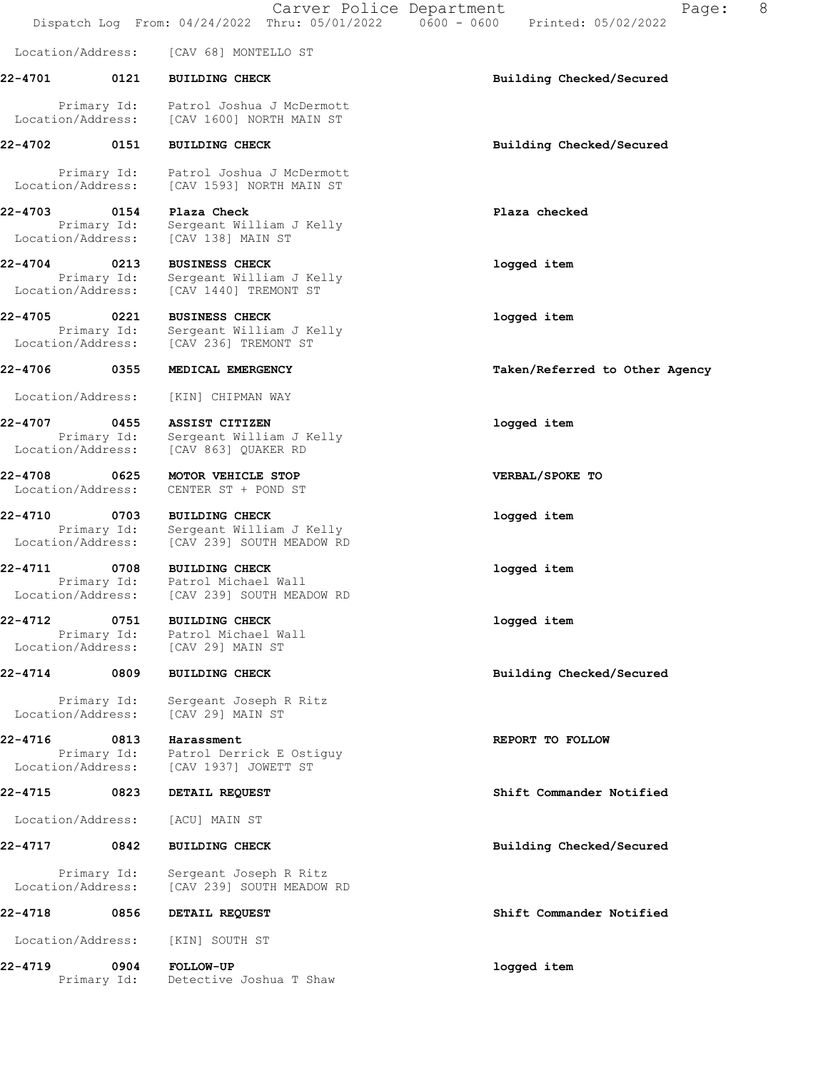Location/Address: [CAV 68] MONTELLO ST 22-4701 0121 BUILDING CHECK Building Checked/Secured Primary Id: Patrol Joshua J McDermott Location/Address: [CAV 1600] NORTH MAIN ST 22-4702 0151 BUILDING CHECK Building Checked/Secured Primary Id: Patrol Joshua J McDermott Location/Address: [CAV 1593] NORTH MAIN ST 22-4703 0154 Plaza Check Plaza checked Primary Id: Sergeant William J Kelly Location/Address: [CAV 138] MAIN ST 22-4704 0213 BUSINESS CHECK logged item Primary Id: Sergeant William J Kelly Location/Address: [CAV 1440] TREMONT ST 22-4705 0221 BUSINESS CHECK logged item Primary Id: Sergeant William J Kelly Location/Address: [CAV 236] TREMONT ST 22-4706 0355 MEDICAL EMERGENCY Taken/Referred to Other Agency Location/Address: [KIN] CHIPMAN WAY 22-4707 0455 ASSIST CITIZEN logged item Primary Id: Sergeant William J Kelly Location/Address: [CAV 863] QUAKER RD 22-4708 0625 MOTOR VEHICLE STOP VERBAL/SPOKE TO Location/Address: CENTER ST + POND ST 22-4710 0703 BUILDING CHECK logged item Primary Id: Sergeant William J Kelly Location/Address: [CAV 239] SOUTH MEADOW RD 22-4711 0708 BUILDING CHECK logged item Primary Id: Patrol Michael Wall Location/Address: [CAV 239] SOUTH MEADOW RD 22-4712 0751 BUILDING CHECK logged item Primary Id: Patrol Michael Wall Location/Address: [CAV 29] MAIN ST 22-4714 0809 BUILDING CHECK Building Checked/Secured Primary Id: Sergeant Joseph R Ritz Location/Address: [CAV 29] MAIN ST 22-4716 0813 Harassment **REPORT TO FOLLOW**  Primary Id: Patrol Derrick E Ostiguy Location/Address: [CAV 1937] JOWETT ST 22-4715 0823 DETAIL REQUEST Shift Commander Notified Location/Address: [ACU] MAIN ST 22-4717 0842 BUILDING CHECK Building Checked/Secured Primary Id: Sergeant Joseph R Ritz Location/Address: [CAV 239] SOUTH MEADOW RD 22-4718 0856 DETAIL REQUEST Shift Commander Notified Location/Address: [KIN] SOUTH ST 22-4719 0904 FOLLOW-UP logged item Primary Id: Detective Joshua T Shaw

Dispatch Log From: 04/24/2022 Thru: 05/01/2022 0600 - 0600 Printed: 05/02/2022

Carver Police Department The Page: 8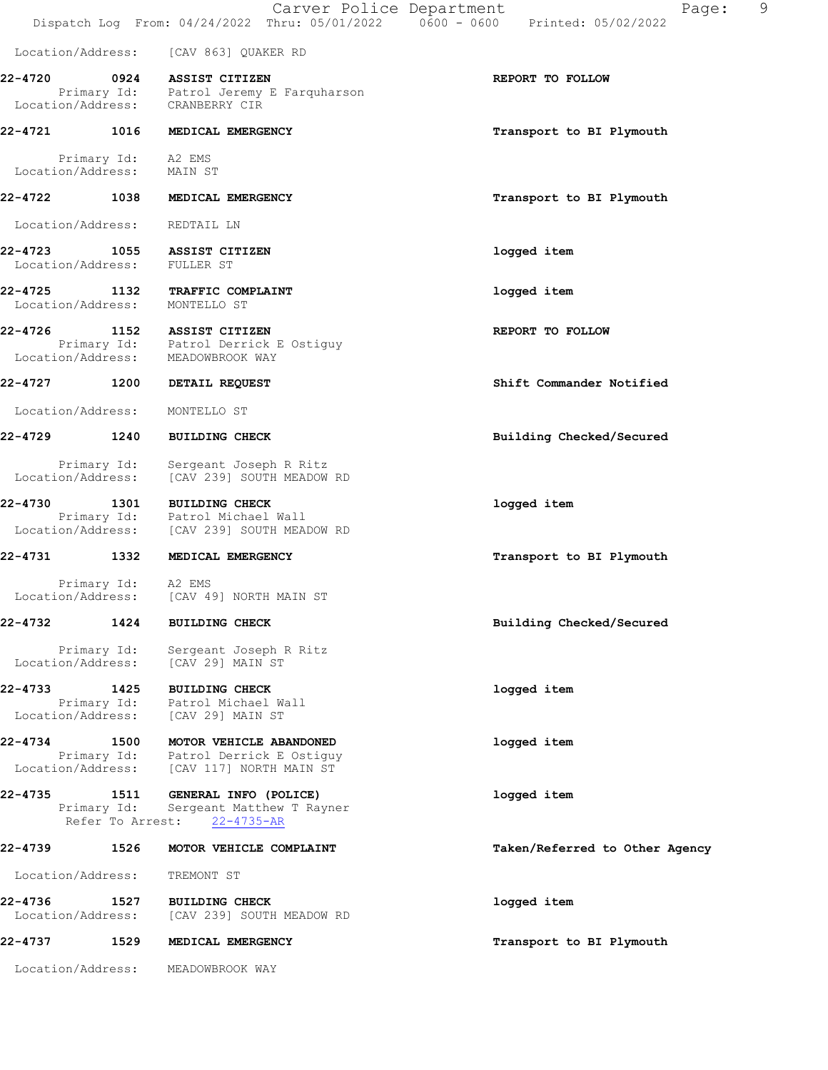|                              |                                         | Carver Police Department                                                                                | 9<br>Page:<br>Dispatch Log From: 04/24/2022 Thru: 05/01/2022   0600 - 0600   Printed: 05/02/2022 |
|------------------------------|-----------------------------------------|---------------------------------------------------------------------------------------------------------|--------------------------------------------------------------------------------------------------|
| Location/Address:            |                                         | [CAV 863] QUAKER RD                                                                                     |                                                                                                  |
| 22-4720                      | 0924                                    | ASSIST CITIZEN<br>Primary Id: Patrol Jeremy E Farquharson<br>Location/Address: CRANBERRY CIR            | REPORT TO FOLLOW                                                                                 |
| 22-4721                      | 1016                                    | MEDICAL EMERGENCY                                                                                       | Transport to BI Plymouth                                                                         |
| Location/Address:            | Primary Id: A2 EMS                      | MAIN ST                                                                                                 |                                                                                                  |
| 22-4722                      | 1038                                    | MEDICAL EMERGENCY                                                                                       | Transport to BI Plymouth                                                                         |
| Location/Address:            |                                         | REDTAIL LN                                                                                              |                                                                                                  |
| 22-4723<br>Location/Address: | 1055                                    | ASSIST CITIZEN<br>FULLER ST                                                                             | logged item                                                                                      |
| 22-4725<br>Location/Address: | 1132                                    | TRAFFIC COMPLAINT<br>MONTELLO ST                                                                        | logged item                                                                                      |
| 22-4726<br>Location/Address: | 1152                                    | ASSIST CITIZEN<br>Primary Id: Patrol Derrick E Ostiguy<br>MEADOWBROOK WAY                               | REPORT TO FOLLOW                                                                                 |
| 22-4727 1200                 |                                         | DETAIL REQUEST                                                                                          | Shift Commander Notified                                                                         |
| Location/Address:            |                                         | MONTELLO ST                                                                                             |                                                                                                  |
| 22-4729                      | 1240                                    | <b>BUILDING CHECK</b>                                                                                   | Building Checked/Secured                                                                         |
| Location/Address:            | Primary Id:                             | Sergeant Joseph R Ritz<br>[CAV 239] SOUTH MEADOW RD                                                     |                                                                                                  |
| 22-4730                      | 1301                                    | <b>BUILDING CHECK</b><br>Primary Id: Patrol Michael Wall<br>Location/Address: [CAV 239] SOUTH MEADOW RD | logged item                                                                                      |
| 22-4731                      | 1332                                    | MEDICAL EMERGENCY                                                                                       | Transport to BI Plymouth                                                                         |
| Location/Address:            | Primary Id: A2 EMS                      | [CAV 49] NORTH MAIN ST                                                                                  |                                                                                                  |
| 22-4732                      | 1424                                    | <b>BUILDING CHECK</b>                                                                                   | Building Checked/Secured                                                                         |
| Location/Address:            | Primary Id:                             | Sergeant Joseph R Ritz<br>[CAV 29] MAIN ST                                                              |                                                                                                  |
| 22-4733<br>Location/Address: | 1425<br>Primary Id:                     | <b>BUILDING CHECK</b><br>Patrol Michael Wall<br>[CAV 29] MAIN ST                                        | logged item                                                                                      |
| 22-4734                      | 1500                                    | MOTOR VEHICLE ABANDONED                                                                                 | logged item                                                                                      |
| Location/Address:            | Primary Id:                             | Patrol Derrick E Ostiguy<br>[CAV 117] NORTH MAIN ST                                                     |                                                                                                  |
| 22-4735                      | 1511<br>Primary Id:<br>Refer To Arrest: | GENERAL INFO (POLICE)<br>Sergeant Matthew T Rayner<br>$22 - 4735 - AR$                                  | logged item                                                                                      |
| 22-4739                      | 1526                                    | MOTOR VEHICLE COMPLAINT                                                                                 | Taken/Referred to Other Agency                                                                   |
| Location/Address:            |                                         | TREMONT ST                                                                                              |                                                                                                  |
| 22-4736<br>Location/Address: | 1527                                    | <b>BUILDING CHECK</b><br>[CAV 239] SOUTH MEADOW RD                                                      | logged item                                                                                      |
| 22-4737                      | 1529                                    | MEDICAL EMERGENCY                                                                                       | Transport to BI Plymouth                                                                         |
| Location/Address:            |                                         | MEADOWBROOK WAY                                                                                         |                                                                                                  |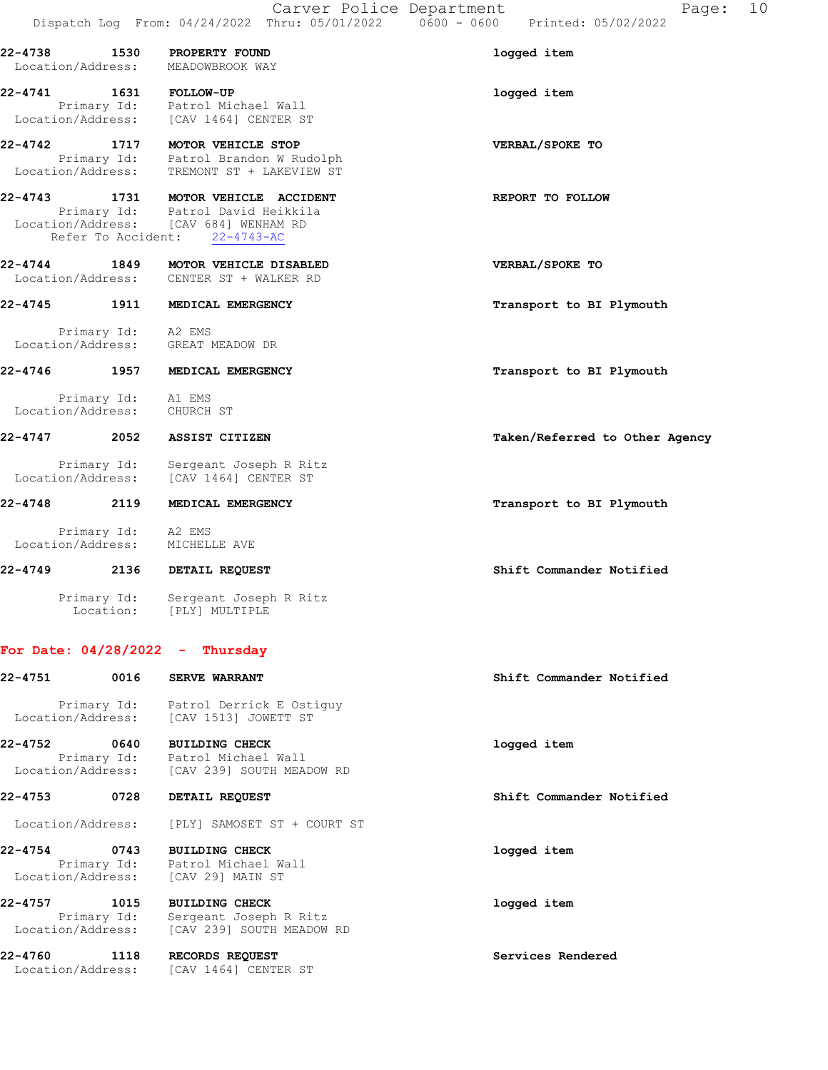Location/Address: TREMONT ST + LAKEVIEW ST 22-4743 1731 MOTOR VEHICLE ACCIDENT REPORT TO FOLLOW Primary Id: Patrol David Heikkila Location/Address: [CAV 684] WENHAM RD

Primary Id: Patrol Brandon W Rudolph

## 22-4744 1849 MOTOR VEHICLE DISABLED VERBAL/SPOKE TO Location/Address: CENTER ST + WALKER RD

Refer To Accident: 22-4743-AC

22-4745 1911 MEDICAL EMERGENCY **1200 1200 1200 1200 1200 1200 1200** Transport to BI Plymouth Primary Id: A2 EMS Location/Address: GREAT MEADOW DR

# 22-4746 1957 MEDICAL EMERGENCY **1968** Transport to BI Plymouth

 Primary Id: A1 EMS Location/Address: CHURCH ST

22-4747 2052 ASSIST CITIZEN Taken/Referred to Other Agency

 Primary Id: Sergeant Joseph R Ritz Location/Address: [CAV 1464] CENTER ST

### 22-4748 2119 MEDICAL EMERGENCY **22-4748** Transport to BI Plymouth

 Primary Id: A2 EMS Location/Address: MICHELLE AVE

## 22-4749 2136 DETAIL REQUEST Shift Commander Notified

 Primary Id: Sergeant Joseph R Ritz Location: [PLY] MULTIPLE

#### For Date: 04/28/2022 - Thursday

| 22-4751                           | 0016 | <b>SERVE WARRANT</b>                                                                                    | Shift Commander Notified |
|-----------------------------------|------|---------------------------------------------------------------------------------------------------------|--------------------------|
|                                   |      | Primary Id: Patrol Derrick E Ostiquy<br>Location/Address: [CAV 1513] JOWETT ST                          |                          |
| 22-4752                           | 0640 | <b>BUILDING CHECK</b><br>Primary Id: Patrol Michael Wall<br>Location/Address: [CAV 239] SOUTH MEADOW RD | logged item              |
| 22-4753                           | 0728 | DETAIL REQUEST                                                                                          | Shift Commander Notified |
|                                   |      | Location/Address: [PLY] SAMOSET ST + COURT ST                                                           |                          |
| 22-4754                           | 0743 | <b>BUILDING CHECK</b><br>Primary Id: Patrol Michael Wall<br>Location/Address: [CAV 29] MAIN ST          | logged item              |
| 22-4757<br>Primary Id:            | 1015 | <b>BUILDING CHECK</b><br>Sergeant Joseph R Ritz<br>Location/Address: [CAV 239] SOUTH MEADOW RD          | logged item              |
| 22-4760 1118<br>Location/Address: |      | RECORDS REQUEST<br>[CAV 1464] CENTER ST                                                                 | Services Rendered        |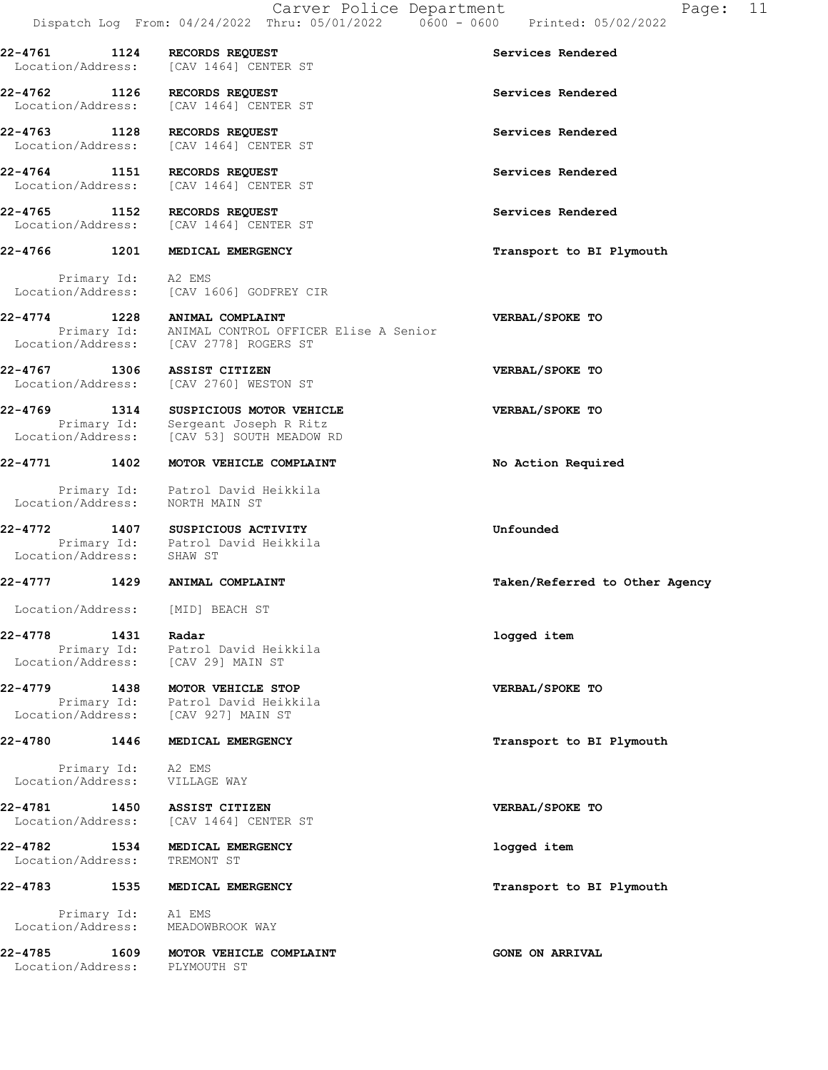| $22 - 4761$<br>Location/Address:  | 1124        | RECORDS REQUEST<br>[CAV 1464] CENTER ST                                                                              | Services Rendered              |
|-----------------------------------|-------------|----------------------------------------------------------------------------------------------------------------------|--------------------------------|
| 22-4762 1126<br>Location/Address: |             | RECORDS REQUEST<br>[CAV 1464] CENTER ST                                                                              | Services Rendered              |
| 22-4763<br>Location/Address:      | 1128        | RECORDS REQUEST<br>[CAV 1464] CENTER ST                                                                              | Services Rendered              |
| 22-4764<br>Location/Address:      | 1151        | RECORDS REQUEST<br>[CAV 1464] CENTER ST                                                                              | Services Rendered              |
| 22-4765<br>Location/Address:      | 1152        | RECORDS REQUEST<br>[CAV 1464] CENTER ST                                                                              | Services Rendered              |
| 22-4766                           | 1201        | MEDICAL EMERGENCY                                                                                                    | Transport to BI Plymouth       |
| Location/Address:                 | Primary Id: | A2 EMS<br>[CAV 1606] GODFREY CIR                                                                                     |                                |
| $22 - 4774$                       |             | 1228 ANIMAL COMPLAINT<br>Primary Id: ANIMAL CONTROL OFFICER Elise A Senior<br>Location/Address: [CAV 2778] ROGERS ST | VERBAL/SPOKE TO                |
| 22-4767<br>Location/Address:      | 1306        | ASSIST CITIZEN<br>[CAV 2760] WESTON ST                                                                               | VERBAL/SPOKE TO                |
| 22-4769                           | 1314        | SUSPICIOUS MOTOR VEHICLE<br>Primary Id: Sergeant Joseph R Ritz<br>Location/Address: [CAV 53] SOUTH MEADOW RD         | VERBAL/SPOKE TO                |
| 22-4771                           | 1402        | MOTOR VEHICLE COMPLAINT                                                                                              | No Action Required             |
| Location/Address:                 |             | Primary Id: Patrol David Heikkila<br>NORTH MAIN ST                                                                   |                                |
| 22-4772 1407                      |             | SUSPICIOUS ACTIVITY<br>Primary Id: Patrol David Heikkila<br>Location/Address: SHAW ST                                | Unfounded                      |
| 22-4777                           | 1429        | ANIMAL COMPLAINT                                                                                                     | Taken/Referred to Other Agency |
| Location/Address:                 |             | [MID] BEACH ST                                                                                                       |                                |
| 22-4778                           | 1431        | Radar<br>Primary Id: Patrol David Heikkila<br>Location/Address: [CAV 29] MAIN ST                                     | logged item                    |
| 22-4779                           |             | 1438 MOTOR VEHICLE STOP<br>Primary Id: Patrol David Heikkila<br>Location/Address: [CAV 927] MAIN ST                  | VERBAL/SPOKE TO                |
| 22-4780                           |             | 1446 MEDICAL EMERGENCY                                                                                               | Transport to BI Plymouth       |
|                                   |             | Primary Id: A2 EMS<br>Location/Address: VILLAGE WAY                                                                  |                                |
|                                   |             | 22-4781 1450 ASSIST CITIZEN<br>Location/Address: [CAV 1464] CENTER ST                                                | VERBAL/SPOKE TO                |
| 22-4782                           |             | 1534 MEDICAL EMERGENCY<br>Location/Address: TREMONT ST                                                               | logged item                    |
| 22-4783                           |             | 1535 MEDICAL EMERGENCY                                                                                               | Transport to BI Plymouth       |
|                                   |             | Primary Id: A1 EMS<br>Location/Address: MEADOWBROOK WAY                                                              |                                |
| 22-4785                           |             | 1609 MOTOR VEHICLE COMPLAINT<br>Location/Address: PLYMOUTH ST                                                        | <b>GONE ON ARRIVAL</b>         |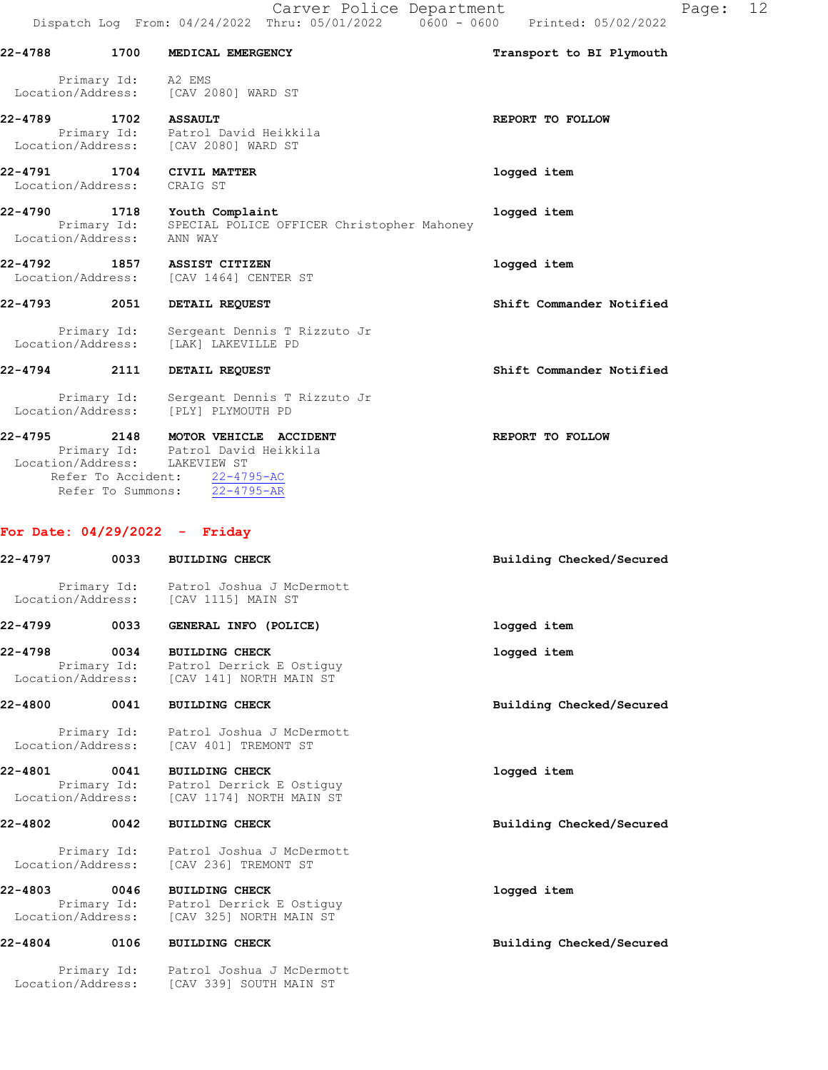|                              |                     | Dispatch Log From: 04/24/2022 Thru: 05/01/2022<br>0600 - 0600                                                                                          | Printed: 05/02/2022      |
|------------------------------|---------------------|--------------------------------------------------------------------------------------------------------------------------------------------------------|--------------------------|
| 22-4788 1700                 |                     | MEDICAL EMERGENCY                                                                                                                                      | Transport to BI Plymouth |
|                              | Primary Id: A2 EMS  | Location/Address: [CAV 2080] WARD ST                                                                                                                   |                          |
| 22-4789                      |                     | 1702 ASSAULT<br>Primary Id: Patrol David Heikkila<br>Location/Address: [CAV 2080] WARD ST                                                              | REPORT TO FOLLOW         |
| 22-4791 1704                 | Location/Address:   | CIVIL MATTER<br>CRAIG ST                                                                                                                               | logged item              |
| 22-4790<br>Location/Address: | 1718<br>Primary Id: | Youth Complaint<br>SPECIAL POLICE OFFICER Christopher Mahoney<br>ANN WAY                                                                               | logged item              |
|                              |                     | 22-4792 1857 ASSIST CITIZEN<br>Location/Address: [CAV 1464] CENTER ST                                                                                  | logged item              |
| 22-4793 2051                 |                     | DETAIL REQUEST                                                                                                                                         | Shift Commander Notified |
| Location/Address:            | Primary Id:         | Sergeant Dennis T Rizzuto Jr<br>[LAK] LAKEVILLE PD                                                                                                     |                          |
| 22-4794 2111                 |                     | DETAIL REQUEST                                                                                                                                         | Shift Commander Notified |
| Location/Address:            | Primary Id:         | Sergeant Dennis T Rizzuto Jr<br>[PLY] PLYMOUTH PD                                                                                                      |                          |
| 22-4795                      | Refer To Summons:   | 2148 MOTOR VEHICLE ACCIDENT<br>Primary Id: Patrol David Heikkila<br>Location/Address: LAKEVIEW ST<br>Refer To Accident: 22-4795-AC<br>$22 - 4795 - AR$ | REPORT TO FOLLOW         |

# For Date: 04/29/2022 - Friday

| $22 - 4797$                  | 0033                | <b>BUILDING CHECK</b>                                                                                       | Building Checked/Secured |
|------------------------------|---------------------|-------------------------------------------------------------------------------------------------------------|--------------------------|
|                              |                     | Primary Id: Patrol Joshua J McDermott<br>Location/Address: [CAV 1115] MAIN ST                               |                          |
| 22-4799                      | 0033                | GENERAL INFO (POLICE)                                                                                       | logged item              |
| 22-4798                      | 0034                | <b>BUILDING CHECK</b><br>Primary Id: Patrol Derrick E Ostiquy<br>Location/Address: [CAV 141] NORTH MAIN ST  | logged item              |
| 22-4800                      | 0041                | <b>BUILDING CHECK</b>                                                                                       | Building Checked/Secured |
|                              |                     | Primary Id: Patrol Joshua J McDermott<br>Location/Address: [CAV 401] TREMONT ST                             |                          |
| 22-4801                      | 0041                | <b>BUILDING CHECK</b><br>Primary Id: Patrol Derrick E Ostiquy<br>Location/Address: [CAV 1174] NORTH MAIN ST | logged item              |
| 22-4802                      | 0042                | <b>BUILDING CHECK</b>                                                                                       | Building Checked/Secured |
|                              |                     | Primary Id: Patrol Joshua J McDermott<br>Location/Address: [CAV 236] TREMONT ST                             |                          |
| 22-4803<br>Location/Address: | 0046<br>Primary Id: | <b>BUILDING CHECK</b><br>Patrol Derrick E Ostiguy<br>[CAV 325] NORTH MAIN ST                                | logged item              |
| 22-4804                      | 0106                | <b>BUILDING CHECK</b>                                                                                       | Building Checked/Secured |
|                              |                     | Primary Id: Patrol Joshua J McDermott<br>Location/Address: [CAV 339] SOUTH MAIN ST                          |                          |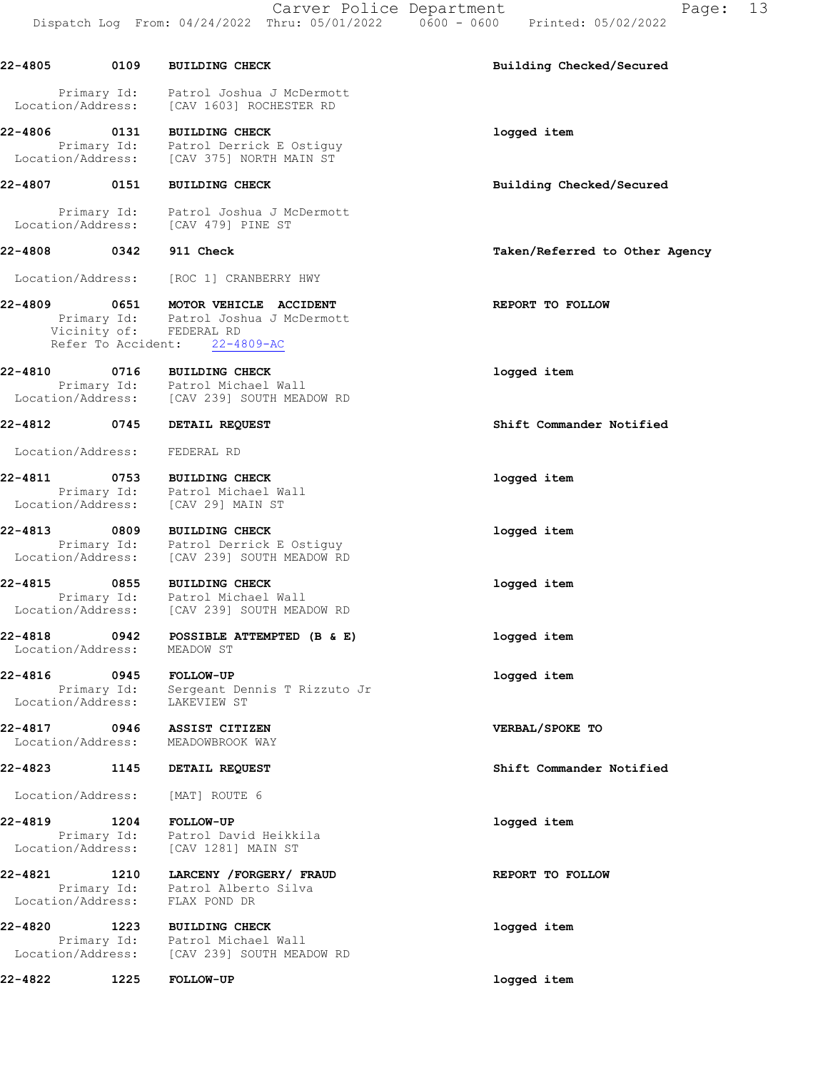22-4805 0109 BUILDING CHECK Building Checked/Secured Primary Id: Patrol Joshua J McDermott Location/Address: [CAV 1603] ROCHESTER RD 22-4806 0131 BUILDING CHECK 1000 and the logged item Primary Id: Patrol Derrick E Ostiguy Location/Address: [CAV 375] NORTH MAIN ST 22-4807 0151 BUILDING CHECK Building Checked/Secured Primary Id: Patrol Joshua J McDermott Location/Address: [CAV 479] PINE ST 22-4808 0342 911 Check Taken/Referred to Other Agency Location/Address: [ROC 1] CRANBERRY HWY 22-4809 0651 MOTOR VEHICLE ACCIDENT REPORT TO FOLLOW Primary Id: Patrol Joshua J McDermott Vicinity of: FEDERAL RD Refer To Accident: 22-4809-AC 22-4810 0716 BUILDING CHECK logged item Primary Id: Patrol Michael Wall Location/Address: [CAV 239] SOUTH MEADOW RD 22-4812 0745 DETAIL REQUEST Shift Commander Notified Location/Address: FEDERAL RD 22-4811 0753 BUILDING CHECK logged item Primary Id: Patrol Michael Wall Location/Address: [CAV 29] MAIN ST 22-4813 0809 BUILDING CHECK logged item Primary Id: Patrol Derrick E Ostiguy Location/Address: [CAV 239] SOUTH MEADOW RD 22-4815 0855 BUILDING CHECK logged item Primary Id: Patrol Michael Wall Location/Address: [CAV 239] SOUTH MEADOW RD 22-4818 0942 POSSIBLE ATTEMPTED (B & E) logged item Location/Address: MEADOW ST 22-4816 0945 FOLLOW-UP logged item Primary Id: Sergeant Dennis T Rizzuto Jr Location/Address: LAKEVIEW ST 22-4817 0946 ASSIST CITIZEN VERBAL/SPOKE TO Location/Address: 22-4823 1145 DETAIL REQUEST Shift Commander Notified Location/Address: [MAT] ROUTE 6 22-4819 1204 FOLLOW-UP logged item Primary Id: Patrol David Heikkila Location/Address: [CAV 1281] MAIN ST 22-4821 1210 LARCENY /FORGERY/ FRAUD REPORT TO FOLLOW Primary Id: Patrol Alberto Silva Location/Address: FLAX POND DR 22-4820 1223 BUILDING CHECK logged item Primary Id: Patrol Michael Wall Location/Address: [CAV 239] SOUTH MEADOW RD 22-4822 1225 FOLLOW-UP logged item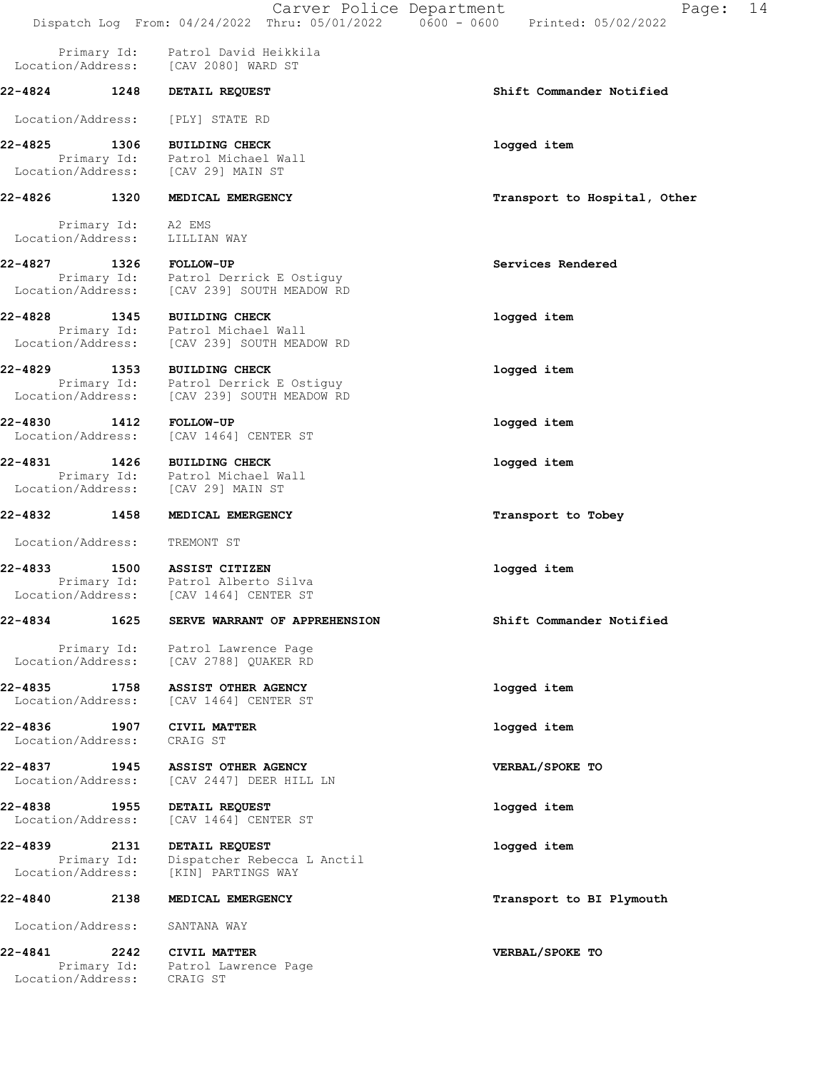|                                                  |                           | Carver Police Department<br>Dispatch Log From: 04/24/2022 Thru: 05/01/2022   0600 - 0600   Printed: 05/02/2022 | 14<br>Page:                  |  |
|--------------------------------------------------|---------------------------|----------------------------------------------------------------------------------------------------------------|------------------------------|--|
|                                                  |                           | Primary Id: Patrol David Heikkila<br>Location/Address: [CAV 2080] WARD ST                                      |                              |  |
| 22-4824 1248                                     |                           | DETAIL REQUEST                                                                                                 | Shift Commander Notified     |  |
| Location/Address:                                |                           | [PLY] STATE RD                                                                                                 |                              |  |
| 22-4825                                          | 1306                      | <b>BUILDING CHECK</b><br>Primary Id: Patrol Michael Wall<br>Location/Address: [CAV 29] MAIN ST                 | logged item                  |  |
| 22-4826 1320                                     |                           | MEDICAL EMERGENCY                                                                                              | Transport to Hospital, Other |  |
| rrimary Id: A2 EMS<br>Location/Address: LILLITAN |                           | LILLIAN WAY                                                                                                    |                              |  |
|                                                  |                           | 22-4827 1326 FOLLOW-UP                                                                                         | Services Rendered            |  |
|                                                  | Location/Address:         | Primary Id: Patrol Derrick E Ostiguy<br>[CAV 239] SOUTH MEADOW RD                                              |                              |  |
| 22-4828                                          | 1345                      | <b>BUILDING CHECK</b><br>Primary Id: Patrol Michael Wall<br>Location/Address: [CAV 239] SOUTH MEADOW RD        | logged item                  |  |
| 22-4829                                          | 1353                      | <b>BUILDING CHECK</b>                                                                                          | logged item                  |  |
| Location/Address:                                |                           | Primary Id: Patrol Derrick E Ostiguy<br>[CAV 239] SOUTH MEADOW RD                                              |                              |  |
| 22-4830 1412<br>Location/Address:                |                           | <b>FOLLOW-UP</b><br>[CAV 1464] CENTER ST                                                                       | logged item                  |  |
| 22-4831 1426                                     |                           | <b>BUILDING CHECK</b><br>Primary Id: Patrol Michael Wall<br>Location/Address: [CAV 29] MAIN ST                 | logged item                  |  |
| 22-4832 1458                                     |                           | MEDICAL EMERGENCY                                                                                              | Transport to Tobey           |  |
| Location/Address:                                |                           | TREMONT ST                                                                                                     |                              |  |
| 22-4833                                          |                           | 1500 ASSIST CITIZEN<br>Primary Id: Patrol Alberto Silva<br>Location/Address: [CAV 1464] CENTER ST              | logged item                  |  |
| 22-4834                                          | 1625                      | SERVE WARRANT OF APPREHENSION                                                                                  | Shift Commander Notified     |  |
| Location/Address:                                | Primary Id:               | Patrol Lawrence Page<br>[CAV 2788] QUAKER RD                                                                   |                              |  |
| 22-4835<br>Location/Address:                     | 1758                      | ASSIST OTHER AGENCY<br>[CAV 1464] CENTER ST                                                                    | logged item                  |  |
| 22-4836 1907<br>Location/Address:                |                           | CIVIL MATTER<br>CRAIG ST                                                                                       | logged item                  |  |
| 22-4837<br>Location/Address:                     | 1945                      | ASSIST OTHER AGENCY<br>[CAV 2447] DEER HILL LN                                                                 | VERBAL/SPOKE TO              |  |
| 22-4838 1955<br>Location/Address:                |                           | DETAIL REQUEST<br>[CAV 1464] CENTER ST                                                                         | logged item                  |  |
| 22-4839                                          | 2131<br>Primary Id:       | DETAIL REQUEST<br>Dispatcher Rebecca L Anctil                                                                  | logged item                  |  |
| 22-4840                                          | Location/Address:<br>2138 | [KIN] PARTINGS WAY<br>MEDICAL EMERGENCY                                                                        | Transport to BI Plymouth     |  |
| Location/Address:                                |                           | SANTANA WAY                                                                                                    |                              |  |
| 22-4841                                          | 2242                      | <b>CIVIL MATTER</b>                                                                                            | VERBAL/SPOKE TO              |  |
| Location/Address:                                | Primary Id:               | Patrol Lawrence Page<br>CRAIG ST                                                                               |                              |  |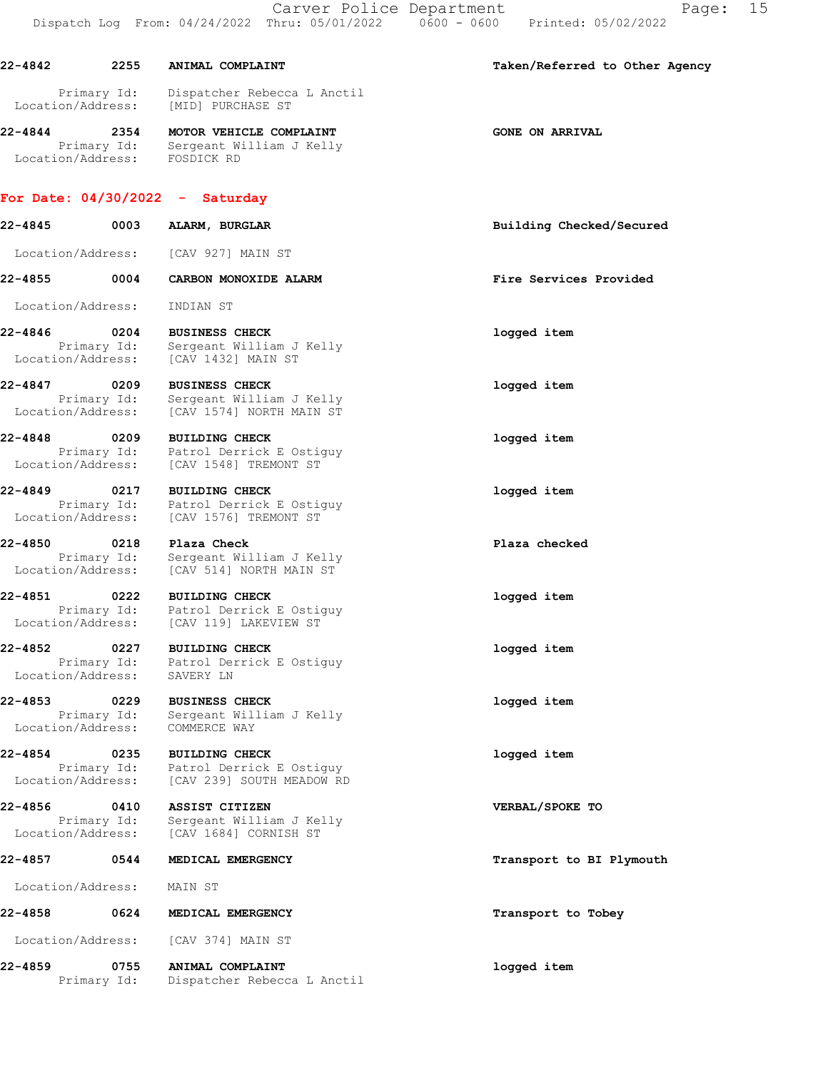Carver Police Department Fage: 15 Dispatch Log From: 04/24/2022 Thru: 05/01/2022 0600 - 0600 Printed: 05/02/2022 22-4842 2255 ANIMAL COMPLAINT Taken/Referred to Other Agency Primary Id: Dispatcher Rebecca L Anctil Location/Address: [MID] PURCHASE ST 22-4844 2354 MOTOR VEHICLE COMPLAINT GONE ON ARRIVAL Primary Id: Sergeant William J Kelly Location/Address: FOSDICK RD For Date: 04/30/2022 - Saturday 22-4845 0003 ALARM, BURGLAR Building Checked/Secured Location/Address: [CAV 927] MAIN ST 22-4855 0004 CARBON MONOXIDE ALARM Fire Services Provided Location/Address: INDIAN ST 22-4846 0204 BUSINESS CHECK logged item Primary Id: Sergeant William J Kelly Location/Address: [CAV 1432] MAIN ST 22-4847 0209 BUSINESS CHECK Drimary Id: Sergeant William J Kelly<br>
Location/Address: [CAV 1574] NORTH MAIN ST Sergeant William J Kelly [CAV 1574] NORTH MAIN ST 22-4848 0209 BUILDING CHECK logged item Primary Id: Patrol Derrick E Ostiguy Location/Address: [CAV 1548] TREMONT ST 22-4849 0217 BUILDING CHECK logged item Primary Id: Patrol Derrick E Ostiguy Location/Address: [CAV 1576] TREMONT ST 22-4850 0218 Plaza Check Plaza checked Primary Id: Sergeant William J Kelly Location/Address: [CAV 514] NORTH MAIN ST 22-4851 0222 BUILDING CHECK logged item Primary Id: Patrol Derrick E Ostiguy Location/Address: [CAV 119] LAKEVIEW ST 22-4852 0227 BUILDING CHECK logged item Primary Id: Patrol Derrick E Ostiguy Location/Address: SAVERY LN 22-4853 0229 BUSINESS CHECK logged item Primary Id: Sergeant William J Kelly Location/Address: COMMERCE WAY

22-4854 0235 BUILDING CHECK logged item Primary Id: Patrol Derrick E Ostiguy Location/Address: [CAV 239] SOUTH MEADOW RD

22-4856 0410 ASSIST CITIZEN VERBAL/SPOKE TO Primary Id: Sergeant William J Kelly Location/Address: [CAV 1684] CORNISH ST

#### 22-4857 0544 MEDICAL EMERGENCY Transport to BI Plymouth

Location/Address: MAIN ST

22-4858 0624 MEDICAL EMERGENCY **1200 CONTROLLY 1200 MEDICAL** 

Location/Address: [CAV 374] MAIN ST

22-4859 0755 ANIMAL COMPLAINT logged item Primary Id: Dispatcher Rebecca L Anctil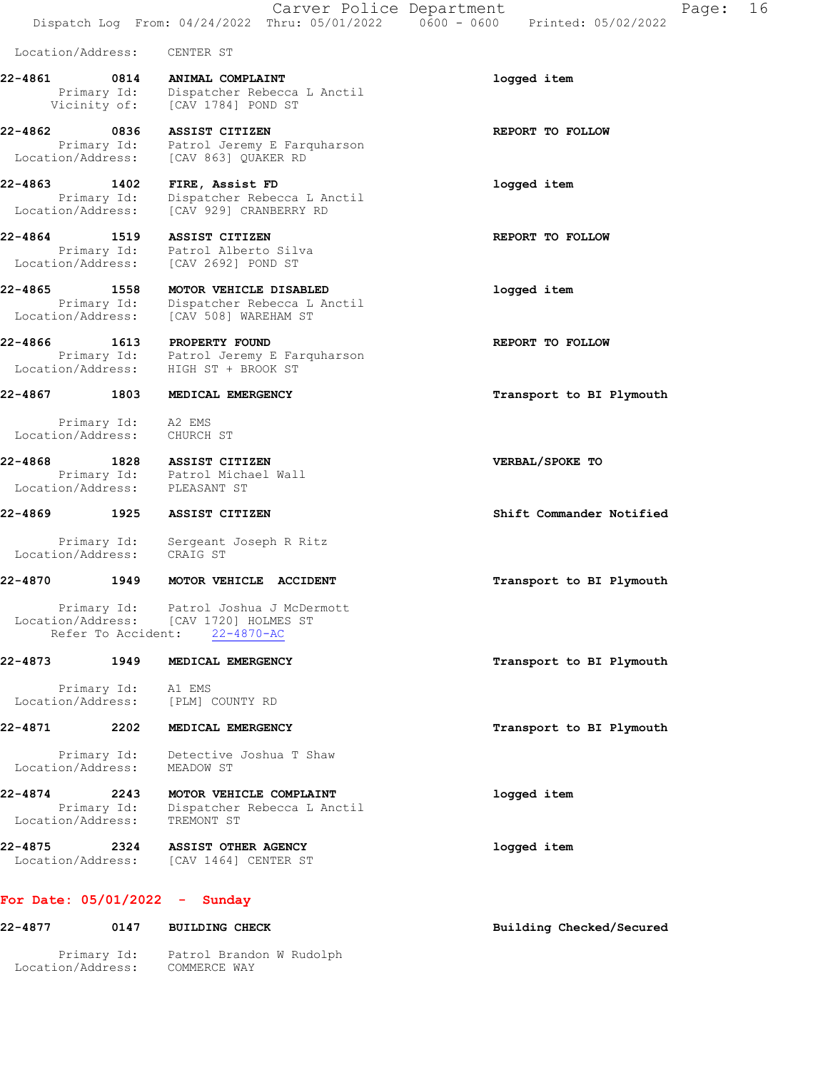Carver Police Department Fage: 16 Dispatch Log From: 04/24/2022 Thru: 05/01/2022 0600 - 0600 Printed: 05/02/2022

Location/Address: CENTER ST

22-4861 0814 ANIMAL COMPLAINT logged item Primary Id: Dispatcher Rebecca L Anctil Vicinity of: [CAV 1784] POND ST

22-4862 0836 ASSIST CITIZEN REPORT TO FOLLOW Primary Id: Patrol Jeremy E Farquharson Location/Address: [CAV 863] QUAKER RD

22-4863 1402 FIRE, Assist FD logged item Primary Id: Dispatcher Rebecca L Anctil Location/Address: [CAV 929] CRANBERRY RD

22-4864 1519 ASSIST CITIZEN **REPORT TO FOLLOW**  Primary Id: Patrol Alberto Silva Location/Address: [CAV 2692] POND ST

22-4865 1558 MOTOR VEHICLE DISABLED logged item Primary Id: Dispatcher Rebecca L Anctil Location/Address: [CAV 508] WAREHAM ST

22-4866 1613 PROPERTY FOUND 160 REPORT TO FOLLOW Primary Id: Patrol Jeremy E Farquharson Location/Address: HIGH ST + BROOK ST

22-4867 1803 MEDICAL EMERGENCY **1803** 1803 MEDICAL EMERGENCY

 Primary Id: A2 EMS Location/Address: CHURCH ST

22-4868 1828 ASSIST CITIZEN VERBAL/SPOKE TO Primary Id: Patrol Michael Wall Location/Address: PLEASANT ST

22-4869 1925 ASSIST CITIZEN Shift Commander Notified

 Primary Id: Sergeant Joseph R Ritz Location/Address: CRAIG ST

#### 22-4870 1949 MOTOR VEHICLE ACCIDENT Transport to BI Plymouth

 Primary Id: Patrol Joshua J McDermott Location/Address: [CAV 1720] HOLMES ST Refer To Accident: 22-4870-AC

#### 22-4873 1949 MEDICAL EMERGENCY **1949 MEDICAL EMERGENCY** 1958 1958 Transport to BI Plymouth

 Primary Id: A1 EMS Location/Address: [PLM] COUNTY RD

## 22-4871 2202 MEDICAL EMERGENCY **1200** 22-4871 2202

 Primary Id: Detective Joshua T Shaw Location/Address: MEADOW ST

22-4874 2243 MOTOR VEHICLE COMPLAINT logged item Primary Id: Dispatcher Rebecca L Anctil Location/Address: TREMONT ST

22-4875 2324 ASSIST OTHER AGENCY logged item Location/Address: [CAV 1464] CENTER ST

## For Date: 05/01/2022 - Sunday

| 22-4877           | 0147        | <b>BUILDING CHECK</b>                    | Building Checked/Secured |
|-------------------|-------------|------------------------------------------|--------------------------|
| Location/Address: | Primary Id: | Patrol Brandon W Rudolph<br>COMMERCE WAY |                          |